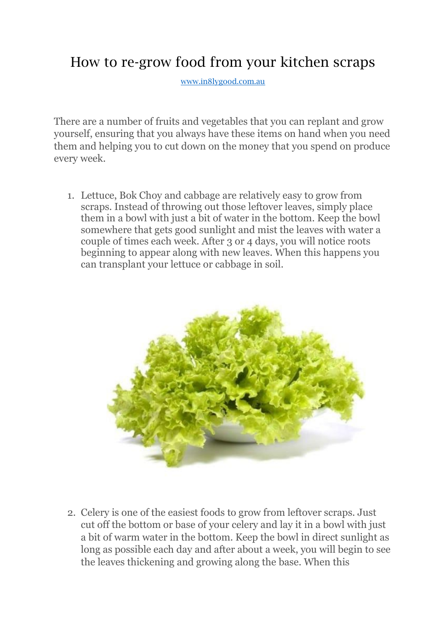## How to re-grow food from your kitchen scraps

[www.in8lygood.com.au](http://www.in8lygood.com.au/)

There are a number of fruits and vegetables that you can replant and grow yourself, ensuring that you always have these items on hand when you need them and helping you to cut down on the money that you spend on produce every week.

1. Lettuce, Bok Choy and cabbage are relatively easy to grow from scraps. Instead of throwing out those leftover leaves, simply place them in a bowl with just a bit of water in the bottom. Keep the bowl somewhere that gets good sunlight and mist the leaves with water a couple of times each week. After 3 or 4 days, you will notice roots beginning to appear along with new leaves. When this happens you can transplant your lettuce or cabbage in soil.



2. Celery is one of the easiest foods to grow from leftover scraps. Just cut off the bottom or base of your celery and lay it in a bowl with just a bit of warm water in the bottom. Keep the bowl in direct sunlight as long as possible each day and after about a week, you will begin to see the leaves thickening and growing along the base. When this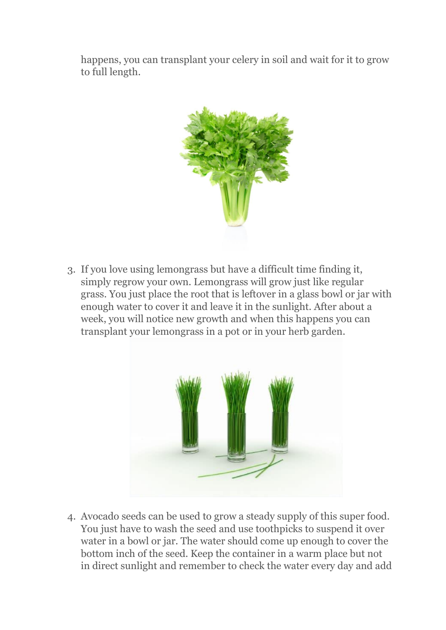happens, you can transplant your celery in soil and wait for it to grow to full length.



3. If you love using lemongrass but have a difficult time finding it, simply regrow your own. Lemongrass will grow just like regular grass. You just place the root that is leftover in a glass bowl or jar with enough water to cover it and leave it in the sunlight. After about a week, you will notice new growth and when this happens you can transplant your lemongrass in a pot or in your herb garden.



4. Avocado seeds can be used to grow a steady supply of this super food. You just have to wash the seed and use toothpicks to suspend it over water in a bowl or jar. The water should come up enough to cover the bottom inch of the seed. Keep the container in a warm place but not in direct sunlight and remember to check the water every day and add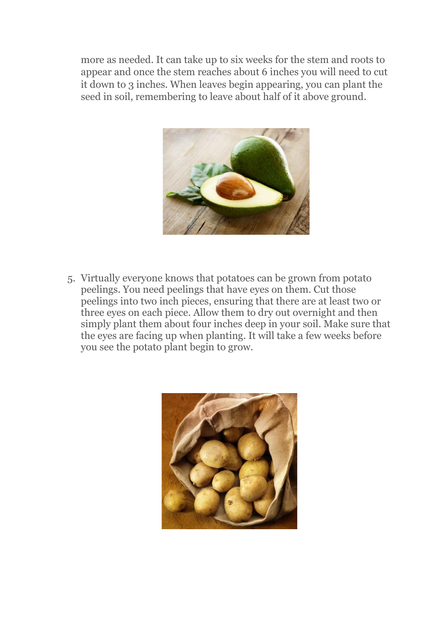more as needed. It can take up to six weeks for the stem and roots to appear and once the stem reaches about 6 inches you will need to cut it down to 3 inches. When leaves begin appearing, you can plant the seed in soil, remembering to leave about half of it above ground.



5. Virtually everyone knows that potatoes can be grown from potato peelings. You need peelings that have eyes on them. Cut those peelings into two inch pieces, ensuring that there are at least two or three eyes on each piece. Allow them to dry out overnight and then simply plant them about four inches deep in your soil. Make sure that the eyes are facing up when planting. It will take a few weeks before you see the potato plant begin to grow.

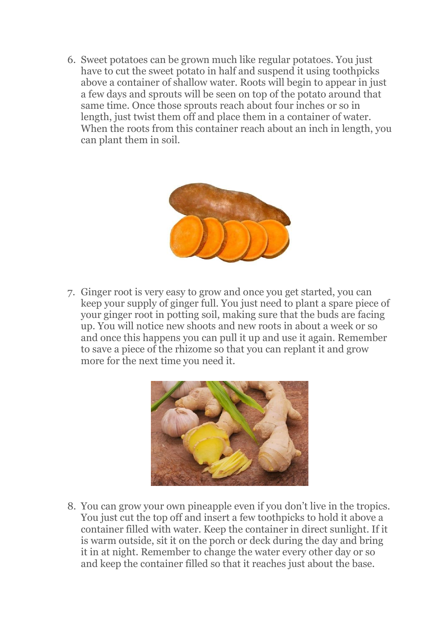6. Sweet potatoes can be grown much like regular potatoes. You just have to cut the sweet potato in half and suspend it using toothpicks above a container of shallow water. Roots will begin to appear in just a few days and sprouts will be seen on top of the potato around that same time. Once those sprouts reach about four inches or so in length, just twist them off and place them in a container of water. When the roots from this container reach about an inch in length, you can plant them in soil.



7. Ginger root is very easy to grow and once you get started, you can keep your supply of ginger full. You just need to plant a spare piece of your ginger root in potting soil, making sure that the buds are facing up. You will notice new shoots and new roots in about a week or so and once this happens you can pull it up and use it again. Remember to save a piece of the rhizome so that you can replant it and grow more for the next time you need it.



8. You can grow your own pineapple even if you don't live in the tropics. You just cut the top off and insert a few toothpicks to hold it above a container filled with water. Keep the container in direct sunlight. If it is warm outside, sit it on the porch or deck during the day and bring it in at night. Remember to change the water every other day or so and keep the container filled so that it reaches just about the base.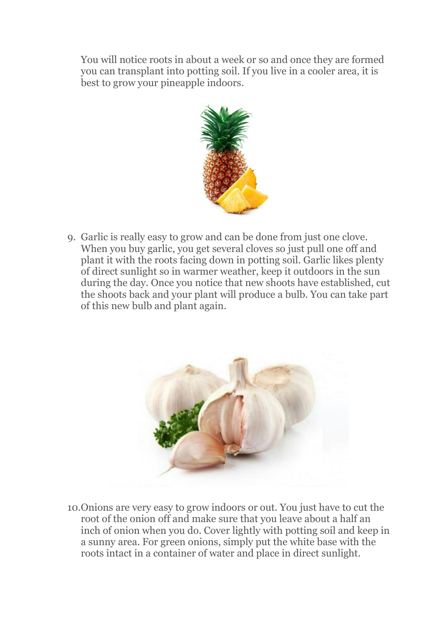You will notice roots in about a week or so and once they are formed you can transplant into potting soil. If you live in a cooler area, it is best to grow your pineapple indoors.



9. Garlic is really easy to grow and can be done from just one clove. When you buy garlic, you get several cloves so just pull one off and plant it with the roots facing down in potting soil. Garlic likes plenty of direct sunlight so in warmer weather, keep it outdoors in the sun during the day. Once you notice that new shoots have established, cut the shoots back and your plant will produce a bulb. You can take part of this new bulb and plant again.



10.Onions are very easy to grow indoors or out. You just have to cut the root of the onion off and make sure that you leave about a half an inch of onion when you do. Cover lightly with potting soil and keep in a sunny area. For green onions, simply put the white base with the roots intact in a container of water and place in direct sunlight.